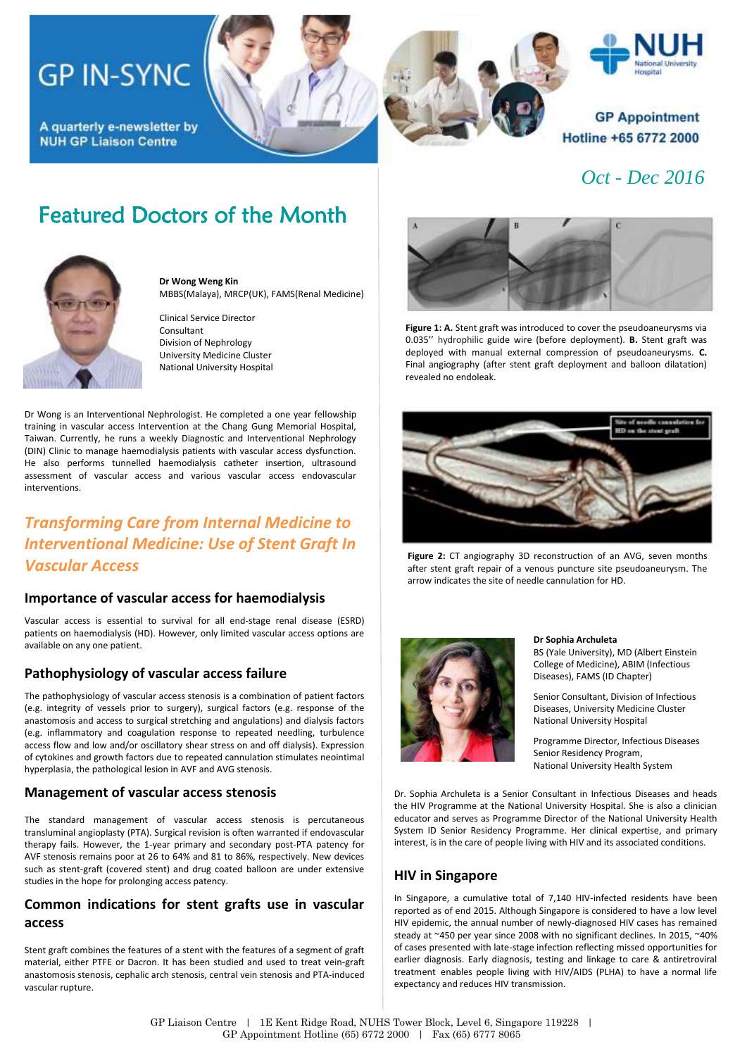# **GP IN-SYNC**

A quarterly e-newsletter by **NUH GP Liaison Centre** 

## Featured Doctors of the Month



**Dr Wong Weng Kin** MBBS(Malaya), MRCP(UK), FAMS(Renal Medicine)

Clinical Service Director Consultant Division of Nephrology University Medicine Cluster National University Hospital

Dr Wong is an Interventional Nephrologist. He completed a one year fellowship training in vascular access Intervention at the Chang Gung Memorial Hospital, Taiwan. Currently, he runs a weekly Diagnostic and Interventional Nephrology (DIN) Clinic to manage haemodialysis patients with vascular access dysfunction. He also performs tunnelled haemodialysis catheter insertion, ultrasound assessment of vascular access and various vascular access endovascular interventions.

## *Transforming Care from Internal Medicine to Interventional Medicine: Use of Stent Graft In Vascular Access*

### **Importance of vascular access for haemodialysis**

Vascular access is essential to survival for all end-stage renal disease (ESRD) patients on haemodialysis (HD). However, only limited vascular access options are available on any one patient.

### **Pathophysiology of vascular access failure**

The pathophysiology of vascular access stenosis is a combination of patient factors (e.g. integrity of vessels prior to surgery), surgical factors (e.g. response of the anastomosis and access to surgical stretching and angulations) and dialysis factors (e.g. inflammatory and coagulation response to repeated needling, turbulence access flow and low and/or oscillatory shear stress on and off dialysis). Expression of cytokines and growth factors due to repeated cannulation stimulates neointimal hyperplasia, the pathological lesion in AVF and AVG stenosis.

### **Management of vascular access stenosis**

The standard management of vascular access stenosis is percutaneous transluminal angioplasty (PTA). Surgical revision is often warranted if endovascular therapy fails. However, the 1-year primary and secondary post-PTA patency for AVF stenosis remains poor at 26 to 64% and 81 to 86%, respectively. New devices such as stent-graft (covered stent) and drug coated balloon are under extensive studies in the hope for prolonging access patency.

## **Common indications for stent grafts use in vascular access**

Stent graft combines the features of a stent with the features of a segment of graft material, either PTFE or Dacron. It has been studied and used to treat vein-graft anastomosis stenosis, cephalic arch stenosis, central vein stenosis and PTA-induced vascular rupture.



*Oct - Dec 2016*

Hotline +65 6772 2000

Hospital

**GP Appointment** 

**Figure 1: A.** Stent graft was introduced to cover the pseudoaneurysms via 0.035'' hydrophilic guide wire (before deployment). **B.** Stent graft was deployed with manual external compression of pseudoaneurysms. **C.** Final angiography (after stent graft deployment and balloon dilatation) revealed no endoleak.



**Figure 2:** CT angiography 3D reconstruction of an AVG, seven months after stent graft repair of a venous puncture site pseudoaneurysm. The arrow indicates the site of needle cannulation for HD.



#### **Dr Sophia Archuleta**

BS (Yale University), MD (Albert Einstein College of Medicine), ABIM (Infectious Diseases), FAMS (ID Chapter)

Senior Consultant, Division of Infectious Diseases, University Medicine Cluster National University Hospital

Programme Director, Infectious Diseases Senior Residency Program, National University Health System

Dr. Sophia Archuleta is a Senior Consultant in Infectious Diseases and heads the HIV Programme at the National University Hospital. She is also a clinician educator and serves as Programme Director of the National University Health System ID Senior Residency Programme. Her clinical expertise, and primary interest, is in the care of people living with HIV and its associated conditions.

## **HIV in Singapore**

In Singapore, a cumulative total of 7,140 HIV-infected residents have been reported as of end 2015. Although Singapore is considered to have a low level HIV epidemic, the annual number of newly-diagnosed HIV cases has remained steady at ~450 per year since 2008 with no significant declines. In 2015, ~40% of cases presented with late-stage infection reflecting missed opportunities for earlier diagnosis. Early diagnosis, testing and linkage to care & antiretroviral treatment enables people living with HIV/AIDS (PLHA) to have a normal life expectancy and reduces HIV transmission.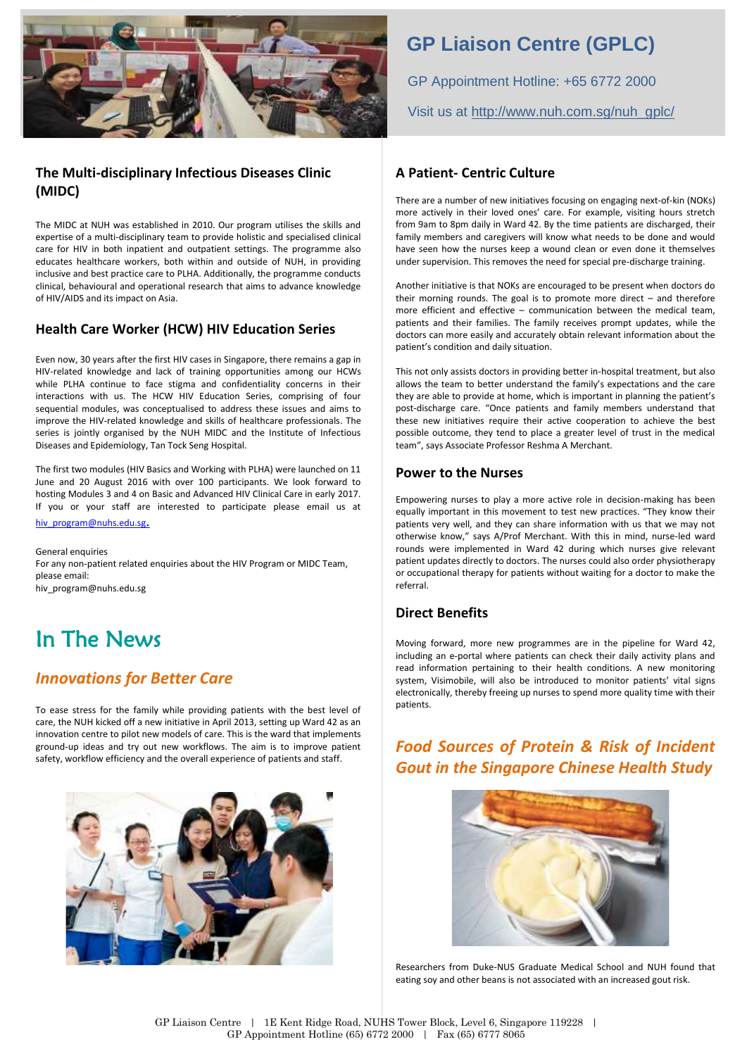

## **The Multi-disciplinary Infectious Diseases Clinic (MIDC)**

The MIDC at NUH was established in 2010. Our program utilises the skills and expertise of a multi-disciplinary team to provide holistic and specialised clinical care for HIV in both inpatient and outpatient settings. The programme also educates healthcare workers, both within and outside of NUH, in providing inclusive and best practice care to PLHA. Additionally, the programme conducts clinical, behavioural and operational research that aims to advance knowledge of HIV/AIDS and its impact on Asia.

### **Health Care Worker (HCW) HIV Education Series**

Even now, 30 years after the first HIV cases in Singapore, there remains a gap in HIV-related knowledge and lack of training opportunities among our HCWs while PLHA continue to face stigma and confidentiality concerns in their interactions with us. The HCW HIV Education Series, comprising of four sequential modules, was conceptualised to address these issues and aims to improve the HIV-related knowledge and skills of healthcare professionals. The series is jointly organised by the NUH MIDC and the Institute of Infectious Diseases and Epidemiology, Tan Tock Seng Hospital.

The first two modules (HIV Basics and Working with PLHA) were launched on 11 June and 20 August 2016 with over 100 participants. We look forward to hosting Modules 3 and 4 on Basic and Advanced HIV Clinical Care in early 2017. If you or your staff are interested to participate please email us at [hiv\\_program@nuhs.edu.sg](mailto:hiv_program@nuhs.edu.sg).

General enquiries For any non-patient related enquiries about the HIV Program or MIDC Team, please email: hiv\_program@nuhs.edu.sg

## In The News

## *Innovations for Better Care*

To ease stress for the family while providing patients with the best level of care, the NUH kicked off a new initiative in April 2013, setting up Ward 42 as an innovation centre to pilot new models of care. This is the ward that implements ground-up ideas and try out new workflows. The aim is to improve patient safety, workflow efficiency and the overall experience of patients and staff.



## **GP Liaison Centre (GPLC)**

GP Appointment Hotline: +65 6772 2000 Visit us at [http://www.nuh.com.sg/nuh\\_gplc/](http://www.nuh.com.sg/nuh_gplc/)

### **A Patient- Centric Culture**

There are a number of new initiatives focusing on engaging next-of-kin (NOKs) more actively in their loved ones' care. For example, visiting hours stretch from 9am to 8pm daily in Ward 42. By the time patients are discharged, their family members and caregivers will know what needs to be done and would have seen how the nurses keep a wound clean or even done it themselves under supervision. This removes the need for special pre-discharge training.

Another initiative is that NOKs are encouraged to be present when doctors do their morning rounds. The goal is to promote more direct – and therefore more efficient and effective – communication between the medical team, patients and their families. The family receives prompt updates, while the doctors can more easily and accurately obtain relevant information about the patient's condition and daily situation.

This not only assists doctors in providing better in-hospital treatment, but also allows the team to better understand the family's expectations and the care they are able to provide at home, which is important in planning the patient's post-discharge care. "Once patients and family members understand that these new initiatives require their active cooperation to achieve the best possible outcome, they tend to place a greater level of trust in the medical team", says Associate Professor Reshma A Merchant.

### **Power to the Nurses**

Empowering nurses to play a more active role in decision-making has been equally important in this movement to test new practices. "They know their patients very well, and they can share information with us that we may not otherwise know," says A/Prof Merchant. With this in mind, nurse-led ward rounds were implemented in Ward 42 during which nurses give relevant patient updates directly to doctors. The nurses could also order physiotherapy or occupational therapy for patients without waiting for a doctor to make the referral.

## **Direct Benefits**

Moving forward, more new programmes are in the pipeline for Ward 42, including an e-portal where patients can check their daily activity plans and read information pertaining to their health conditions. A new monitoring system, Visimobile, will also be introduced to monitor patients' vital signs electronically, thereby freeing up nurses to spend more quality time with their patients.

## *Food Sources of Protein & Risk of Incident Gout in the Singapore Chinese Health Study*



Researchers from Duke-NUS Graduate Medical School and NUH found that eating soy and other beans is not associated with an increased gout risk.